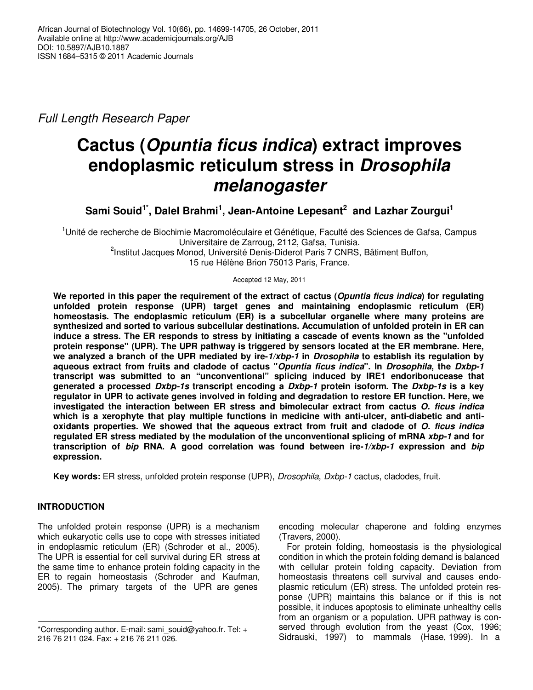*Full Length Research Paper*

# **Cactus (Opuntia ficus indica) extract improves endoplasmic reticulum stress in Drosophila melanogaster**

**Sami Souid1\*, Dalel Brahmi<sup>1</sup> , Jean-Antoine Lepesant<sup>2</sup> and Lazhar Zourgui<sup>1</sup>**

<sup>1</sup>Unité de recherche de Biochimie Macromoléculaire et Génétique, Faculté des Sciences de Gafsa, Campus Universitaire de Zarroug, 2112, Gafsa, Tunisia. <sup>2</sup>Institut Jacques Monod, Université Denis-Diderot Paris 7 CNRS, Bâtiment Buffon,

15 rue Hélène Brion 75013 Paris, France.

Accepted 12 May, 2011

**We reported in this paper the requirement of the extract of cactus (Opuntia ficus indica) for regulating unfolded protein response (UPR) target genes and maintaining endoplasmic reticulum (ER) homeostasis. The endoplasmic reticulum (ER) is a subcellular organelle where many proteins are synthesized and sorted to various subcellular destinations. Accumulation of unfolded protein in ER can induce a stress. The ER responds to stress by initiating a cascade of events known as the "unfolded protein response" (UPR). The UPR pathway is triggered by sensors located at the ER membrane. Here, we analyzed a branch of the UPR mediated by ire-1/xbp-1 in Drosophila to establish its regulation by aqueous extract from fruits and cladode of cactus "Opuntia ficus indica". In Drosophila, the Dxbp-1 transcript was submitted to an "unconventional" splicing induced by IRE1 endoribonucease that generated a processed Dxbp-1s transcript encoding a Dxbp-1 protein isoform. The Dxbp-1s is a key regulator in UPR to activate genes involved in folding and degradation to restore ER function. Here, we investigated the interaction between ER stress and bimolecular extract from cactus O. ficus indica which is a xerophyte that play multiple functions in medicine with anti-ulcer, anti-diabetic and antioxidants properties. We showed that the aqueous extract from fruit and cladode of O. ficus indica regulated ER stress mediated by the modulation of the unconventional splicing of mRNA xbp-1 and for transcription of bip RNA. A good correlation was found between ire-1/xbp-1 expression and bip expression.** 

**Key words:** ER stress, unfolded protein response (UPR), *Drosophila*, *Dxbp-1* cactus, cladodes, fruit.

# **INTRODUCTION**

The unfolded protein response (UPR) is a mechanism which eukaryotic cells use to cope with stresses initiated in endoplasmic reticulum (ER) (Schroder et al., 2005). The UPR is essential for cell survival during ER stress at the same time to enhance protein folding capacity in the ER to regain homeostasis (Schroder and Kaufman, 2005). The primary targets of the UPR are genes

encoding molecular chaperone and folding enzymes (Travers, 2000).

For protein folding, homeostasis is the physiological condition in which the protein folding demand is balanced with cellular protein folding capacity. Deviation from homeostasis threatens cell survival and causes endoplasmic reticulum (ER) stress. The unfolded protein response (UPR) maintains this balance or if this is not possible, it induces apoptosis to eliminate unhealthy cells from an organism or a population. UPR pathway is conserved through evolution from the yeast (Cox, 1996; Sidrauski, 1997) to mammals (Hase, 1999). In a

<sup>\*</sup>Corresponding author. E-mail: sami\_souid@yahoo.fr. Tel: + 216 76 211 024. Fax: + 216 76 211 026.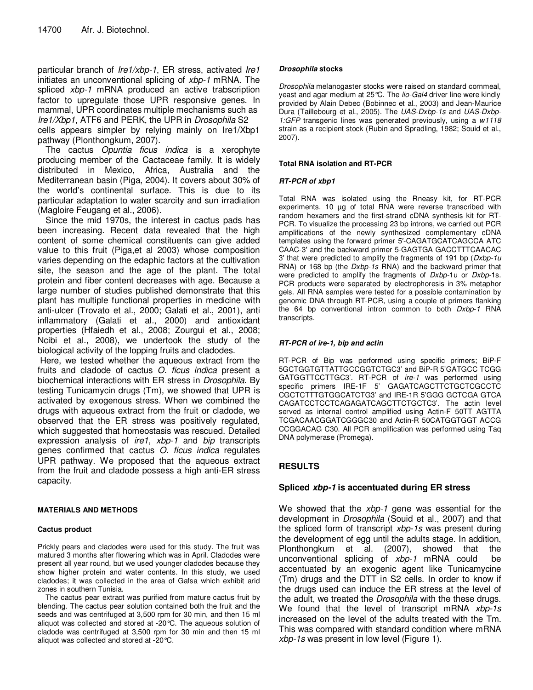particular branch of *Ire1/xbp-1*, ER stress, activated *Ire1* initiates an unconventional splicing of *xbp-1* mRNA. The spliced *xbp-1* mRNA produced an active trabscription factor to upregulate those UPR responsive genes. In mammal, UPR coordinates multiple mechanisms such as *Ire1/Xbp1*, ATF6 and PERK, the UPR in *Drosophila* S2

cells appears simpler by relying mainly on Ire1/Xbp1 pathway (Plonthongkum, 2007).

The cactus *Opuntia ficus indica* is a xerophyte producing member of the Cactaceae family. It is widely distributed in Mexico, Africa, Australia and the Mediterranean basin (Piga, 2004). It covers about 30% of the world's continental surface. This is due to its particular adaptation to water scarcity and sun irradiation (Magloire Feugang et al., 2006).

Since the mid 1970s, the interest in cactus pads has been increasing. Recent data revealed that the high content of some chemical constituents can give added value to this fruit (Piga,et al 2003) whose composition varies depending on the edaphic factors at the cultivation site, the season and the age of the plant. The total protein and fiber content decreases with age. Because a large number of studies published demonstrate that this plant has multiple functional properties in medicine with anti-ulcer (Trovato et al., 2000; Galati et al., 2001), anti inflammatory (Galati et al., 2000) and antioxidant properties (Hfaiedh et al., 2008; Zourgui et al., 2008; Ncibi et al., 2008), we undertook the study of the biological activity of the lopping fruits and cladodes.

 Here, we tested whether the aqueous extract from the fruits and cladode of cactus *O. ficus indica* present a biochemical interactions with ER stress in *Drosophila*. By testing Tunicamycin drugs (Tm), we showed that UPR is activated by exogenous stress. When we combined the drugs with aqueous extract from the fruit or cladode, we observed that the ER stress was positively regulated, which suggested that homeostasis was rescued. Detailed expression analysis of *ire1*, *xbp-1* and *bip* transcripts genes confirmed that cactus *O. ficus indica* regulates UPR pathway. We proposed that the aqueous extract from the fruit and cladode possess a high anti-ER stress capacity.

#### **MATERIALS AND METHODS**

#### **Cactus product**

Prickly pears and cladodes were used for this study. The fruit was matured 3 months after flowering which was in April. Cladodes were present all year round, but we used younger cladodes because they show higher protein and water contents. In this study, we used cladodes; it was collected in the area of Gafsa which exhibit arid zones in southern Tunisia.

The cactus pear extract was purified from mature cactus fruit by blending. The cactus pear solution contained both the fruit and the seeds and was centrifuged at 3,500 rpm for 30 min, and then 15 ml aliquot was collected and stored at -20°C. The aqueous solution of cladode was centrifuged at 3,500 rpm for 30 min and then 15 ml aliquot was collected and stored at -20°C.

#### **Drosophila stocks**

*Drosophila* melanogaster stocks were raised on standard cornmeal, yeast and agar medium at 25°C. The *lio-Gal4* driver line were kindly provided by Alain Debec (Bobinnec et al., 2003) and Jean-Maurice Dura (Taillebourg et al., 2005). The *UAS-Dxbp-1s* and *UAS-Dxbp-1:GFP* transgenic lines was generated previously, using a *w1118* strain as a recipient stock (Rubin and Spradling, 1982; Souid et al., 2007).

#### **Total RNA isolation and RT-PCR**

#### **RT-PCR of xbp1**

Total RNA was isolated using the Rneasy kit, for RT-PCR experiments. 10  $\mu$ g of total RNA were reverse transcribed with random hexamers and the first-strand cDNA synthesis kit for RT-PCR. To visualize the processing 23 bp introns, we carried out PCR amplifications of the newly synthesized complementary cDNA templates using the forward primer 5′-CAGATGCATCAGCCA ATC CAAC-3′ and the backward primer 5-GAGTGA GACCTTTCAACAC 3′ that were predicted to amplify the fragments of 191 bp (*Dxbp-1u* RNA) or 168 bp (the *Dxbp-1s* RNA) and the backward primer that were predicted to amplify the fragments of *Dxbp-*1u or *Dxbp-*1s. PCR products were separated by electrophoresis in 3% metaphor gels. All RNA samples were tested for a possible contamination by genomic DNA through RT-PCR, using a couple of primers flanking the 64 bp conventional intron common to both *Dxbp-1* RNA transcripts.

#### **RT-PCR of ire-1, bip and actin**

RT-PCR of Bip was performed using specific primers; BiP-F 5GCTGGTGTTATTGCCGGTCTGC3' and BiP-R 5'GATGCC TCGG GATGGTTCCTTGC3'. RT-PCR of *ire-1* was performed using specific primers IRE-1F 5' GAGATCAGCTTCTGCTCGCCTC CGCTCTTTGTGGCATCTG3' and IRE-1R 5'GGG GCTCGA GTCA CAGATCCTCCTCAGAGATCAGCTTCTGCTC3'. The actin level served as internal control amplified using Actin-F 50TT AGTTA TCGACAACGGATCGGGC30 and Actin-R 50CATGGTGGT ACCG CCGGACAG C30. All PCR amplification was performed using Taq DNA polymerase (Promega).

# **RESULTS**

# **Spliced xbp-1 is accentuated during ER stress**

We showed that the *xbp-1* gene was essential for the development in *Drosophila* (Souid et al., 2007) and that the spliced form of transcript *xbp-1s* was present during the development of egg until the adults stage. In addition, Plonthongkum et al. (2007), showed that the unconventional splicing of *xbp-1* mRNA could be accentuated by an exogenic agent like Tunicamycine (Tm) drugs and the DTT in S2 cells. In order to know if the drugs used can induce the ER stress at the level of the adult, we treated the *Drosophila* with the these drugs. We found that the level of transcript mRNA *xbp-1s* increased on the level of the adults treated with the Tm. This was compared with standard condition where mRNA *xbp-1s* was present in low level (Figure 1).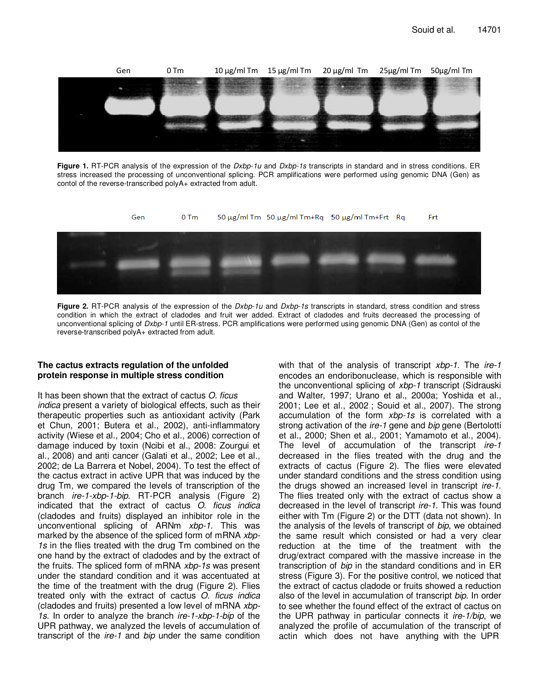

**Figure 1.** RT-PCR analysis of the expression of the *Dxbp-1u* and *Dxbp-1s* transcripts in standard and in stress conditions. ER stress increased the processing of unconventional splicing. PCR amplifications were performed using genomic DNA (Gen) as contol of the reverse-transcribed polyA+ extracted from adult.



**Figure 2.** RT-PCR analysis of the expression of the *Dxbp-1u* and *Dxbp-1s* transcripts in standard, stress condition and stress condition in which the extract of cladodes and fruit wer added. Extract of cladodes and fruits decreased the processing of unconventional splicing of *Dxbp-1* until ER-stress. PCR amplifications were performed using genomic DNA (Gen) as contol of the reverse-transcribed polyA+ extracted from adult.

# **The cactus extracts regulation of the unfolded protein response in multiple stress condition**

It has been shown that the extract of cactus *O. ficus indica* present a variety of biological effects, such as their therapeutic properties such as antioxidant activity (Park et Chun, 2001; Butera et al., 2002), anti-inflammatory activity (Wiese et al., 2004; Cho et al., 2006) correction of damage induced by toxin (Ncibi et al., 2008: Zourgui et al., 2008) and anti cancer (Galati et al., 2002; Lee et al., 2002; de La Barrera et Nobel, 2004). To test the effect of the cactus extract in active UPR that was induced by the drug Tm, we compared the levels of transcription of the branch *ire-1-xbp-1-bip*. RT-PCR analysis (Figure 2) indicated that the extract of cactus *O. ficus indica* (cladodes and fruits) displayed an inhibitor role in the unconventional splicing of ARNm *xbp-1.* This was marked by the absence of the spliced form of mRNA *xbp-1s* in the flies treated with the drug Tm combined on the one hand by the extract of cladodes and by the extract of the fruits. The spliced form of mRNA *xbp-1s* was present under the standard condition and it was accentuated at the time of the treatment with the drug (Figure 2). Flies treated only with the extract of cactus *O. ficus indica* (cladodes and fruits) presented a low level of mRNA *xbp-1s*. In order to analyze the branch *ire-1-xbp-1-bip* of the UPR pathway, we analyzed the levels of accumulation of transcript of the *ire-1* and *bip* under the same condition with that of the analysis of transcript *xbp-1*. The *ire-1* encodes an endoribonuclease, which is responsible with the unconventional splicing of *xbp-1* transcript (Sidrauski and Walter, 1997; Urano et al., 2000a; Yoshida et al., 2001; Lee et al., 2002 ; Souid et al., 2007). The strong accumulation of the form *xbp-1s* is correlated with a strong activation of the *ire-1* gene and *bip* gene (Bertolotti et al., 2000; Shen et al., 2001; Yamamoto et al., 2004). The level of accumulation of the transcript *ire-1* decreased in the flies treated with the drug and the extracts of cactus (Figure 2). The flies were elevated under standard conditions and the stress condition using the drugs showed an increased level in transcript *ire-1*. The flies treated only with the extract of cactus show a decreased in the level of transcript *ire-1*. This was found either with Tm (Figure 2) or the DTT (data not shown). In the analysis of the levels of transcript of *bip*, we obtained the same result which consisted or had a very clear reduction at the time of the treatment with the drug/extract compared with the massive increase in the transcription of *bip* in the standard conditions and in ER stress (Figure 3). For the positive control, we noticed that the extract of cactus cladode or fruits showed a reduction also of the level in accumulation of transcript *bip*. In order to see whether the found effect of the extract of cactus on the UPR pathway in particular connects it *ire-1/bip*, we analyzed the profile of accumulation of the transcript of actin which does not have anything with the UPR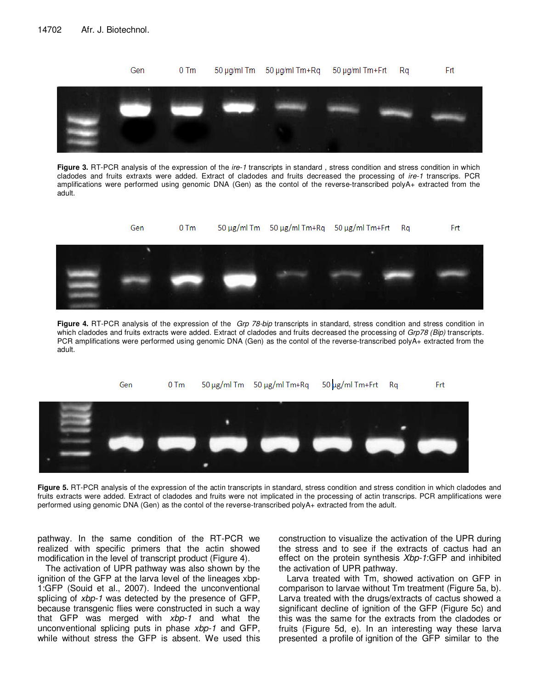

**Figure 3.** RT-PCR analysis of the expression of the *ire-1* transcripts in standard , stress condition and stress condition in which cladodes and fruits extraxts were added. Extract of cladodes and fruits decreased the processing of *ire-1* transcrips. PCR amplifications were performed using genomic DNA (Gen) as the contol of the reverse-transcribed polyA+ extracted from the adult.



**Figure 4.** RT-PCR analysis of the expression of the *Grp 78-bip* transcripts in standard, stress condition and stress condition in which cladodes and fruits extracts were added. Extract of cladodes and fruits decreased the processing of *Grp78 (Bip)* transcripts. PCR amplifications were performed using genomic DNA (Gen) as the contol of the reverse-transcribed polyA+ extracted from the adult.



Figure 5. RT-PCR analysis of the expression of the actin transcripts in standard, stress condition and stress condition in which cladodes and fruits extracts were added. Extract of cladodes and fruits were not implicated in the processing of actin transcrips. PCR amplifications were performed using genomic DNA (Gen) as the contol of the reverse-transcribed polyA+ extracted from the adult.

pathway. In the same condition of the RT-PCR we realized with specific primers that the actin showed modification in the level of transcript product (Figure 4).

The activation of UPR pathway was also shown by the ignition of the GFP at the larva level of the lineages xbp-1:GFP (Souid et al., 2007). Indeed the unconventional splicing of *xbp-1* was detected by the presence of GFP, because transgenic flies were constructed in such a way that GFP was merged with *xbp-1* and what the unconventional splicing puts in phase *xbp-1* and GFP, while without stress the GFP is absent. We used this construction to visualize the activation of the UPR during the stress and to see if the extracts of cactus had an effect on the protein synthesis *Xbp-1*:GFP and inhibited the activation of UPR pathway.

Larva treated with Tm, showed activation on GFP in comparison to larvae without Tm treatment (Figure 5a, b). Larva treated with the drugs/extracts of cactus showed a significant decline of ignition of the GFP (Figure 5c) and this was the same for the extracts from the cladodes or fruits (Figure 5d, e). In an interesting way these larva presented a profile of ignition of the GFP similar to the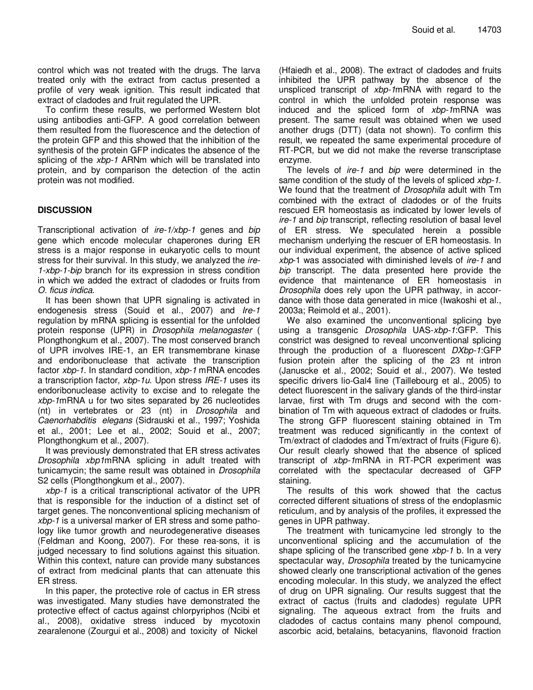control which was not treated with the drugs. The larva treated only with the extract from cactus presented a profile of very weak ignition. This result indicated that extract of cladodes and fruit regulated the UPR.

To confirm these results, we performed Western blot using antibodies anti-GFP. A good correlation between them resulted from the fluorescence and the detection of the protein GFP and this showed that the inhibition of the synthesis of the protein GFP indicates the absence of the splicing of the *xbp-1* ARNm which will be translated into protein, and by comparison the detection of the actin protein was not modified.

# **DISCUSSION**

Transcriptional activation of *ire-1/xbp-1* genes and *bip* gene which encode molecular chaperones during ER stress is a major response in eukaryotic cells to mount stress for their survival. In this study, we analyzed the *ire-1-xbp-1-bip* branch for its expression in stress condition in which we added the extract of cladodes or fruits from *O. ficus indica*.

It has been shown that UPR signaling is activated in endogenesis stress (Souid et al., 2007) and *Ire-1* regulation by mRNA splicing is essential for the unfolded protein response (UPR) in *Drosophila melanogaster* ( Plongthongkum et al., 2007). The most conserved branch of UPR involves IRE-1, an ER transmembrane kinase and endoribonuclease that activate the transcription factor *xbp-1*. In standard condition, *xbp-1* mRNA encodes a transcription factor, *xbp-1u*. Upon stress *IRE-1* uses its endoribonuclease activity to excise and to relegate the *xbp-1*mRNA u for two sites separated by 26 nucleotides (nt) in vertebrates or 23 (nt) in *Drosophila* and *Caenorhabditis elegans* (Sidrauski et al., 1997; Yoshida et al., 2001; Lee et al., 2002; Souid et al., 2007; Plongthongkum et al., 2007).

It was previously demonstrated that ER stress activates *Drosophila xbp1*mRNA splicing in adult treated with tunicamycin; the same result was obtained in *Drosophila* S2 cells (Plongthongkum et al., 2007).

*xbp-1* is a critical transcriptional activator of the UPR that is responsible for the induction of a distinct set of target genes. The nonconventional splicing mechanism of *xbp-1* is a universal marker of ER stress and some pathology like tumor growth and neurodegenerative diseases (Feldman and Koong, 2007). For these rea-sons, it is judged necessary to find solutions against this situation. Within this context, nature can provide many substances of extract from medicinal plants that can attenuate this ER stress.

In this paper, the protective role of cactus in ER stress was investigated. Many studies have demonstrated the protective effect of cactus against chlorpyriphos (Ncibi et al., 2008), oxidative stress induced by mycotoxin zearalenone (Zourgui et al., 2008) and toxicity of Nickel

(Hfaiedh et al., 2008). The extract of cladodes and fruits inhibited the UPR pathway by the absence of the unspliced transcript of *xbp-1*mRNA with regard to the control in which the unfolded protein response was induced and the spliced form of *xbp-1*mRNA was present. The same result was obtained when we used another drugs (DTT) (data not shown). To confirm this result, we repeated the same experimental procedure of RT-PCR, but we did not make the reverse transcriptase enzyme.

The levels of *ire-1* and *bip* were determined in the same condition of the study of the levels of spliced *xbp-1*. We found that the treatment of *Drosophila* adult with Tm combined with the extract of cladodes or of the fruits rescued ER homeostasis as indicated by lower levels of *ire-1* and *bip* transcript, reflecting resolution of basal level of ER stress. We speculated herein a possible mechanism underlying the rescuer of ER homeostasis. In our individual experiment, the absence of active spliced *xbp*-1 was associated with diminished levels of *ire-1* and *bip* transcript. The data presented here provide the evidence that maintenance of ER homeostasis in *Drosophila* does rely upon the UPR pathway, in accordance with those data generated in mice (Iwakoshi et al., 2003a; Reimold et al., 2001).

We also examined the unconventional splicing bye using a transgenic *Drosophila* UAS-*xbp-1*:GFP. This constrict was designed to reveal unconventional splicing through the production of a fluorescent *DXbp-1*:GFP fusion protein after the splicing of the 23 nt intron (Januscke et al., 2002; Souid et al., 2007). We tested specific drivers lio-Gal4 line (Taillebourg et al., 2005) to detect fluorescent in the salivary glands of the third-instar larvae, first with Tm drugs and second with the combination of Tm with aqueous extract of cladodes or fruits. The strong GFP fluorescent staining obtained in Tm treatment was reduced significantly in the context of Tm/extract of cladodes and Tm/extract of fruits (Figure 6). Our result clearly showed that the absence of spliced transcript of *xbp-1*mRNA in RT-PCR experiment was correlated with the spectacular decreased of GFP staining.

The results of this work showed that the cactus corrected different situations of stress of the endoplasmic reticulum, and by analysis of the profiles, it expressed the genes in UPR pathway.

The treatment with tunicamycine led strongly to the unconventional splicing and the accumulation of the shape splicing of the transcribed gene *xbp-1* b. In a very spectacular way, *Drosophila* treated by the tunicamycine showed clearly one transcriptional activation of the genes encoding molecular. In this study, we analyzed the effect of drug on UPR signaling. Our results suggest that the extract of cactus (fruits and cladodes) regulate UPR signaling. The aqueous extract from the fruits and cladodes of cactus contains many phenol compound, ascorbic acid, betalains, betacyanins, flavonoid fraction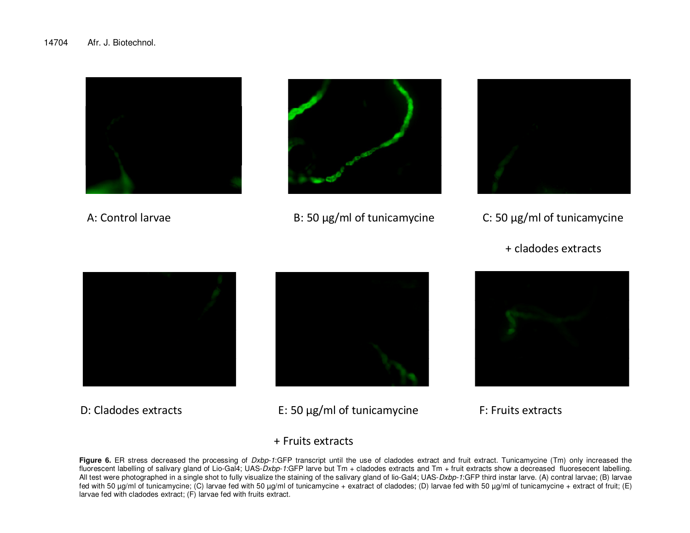

A: Control larvae



B: 50 µg/ml of tunicamycine C: 50 µg/ml of tunicamycine



- - + cladodes extracts



D: Cladodes extracts



E: 50 µg/ml of tunicamycine

F: Fruits extracts

# + Fruits extracts

Figure 6. ER stress decreased the processing of *Dxbp-1*:GFP transcript until the use of cladodes extract and fruit extract. Tunicamycine (Tm) only increased the fluorescent labelling of salivary gland of Lio-Gal4; UAS-*Dxbp-1*:GFP larve but Tm + cladodes extracts and Tm + fruit extracts show a decreased fluoresecent labelling. All test were photographed in a single shot to fully visualize the staining of the salivary gland of lio-Gal4; UAS-*Dxbp-1*:GFP third instar larve. (A) contral larvae; (B) larvae fed with 50 µg/ml of tunicamycine; (C) larvae fed with 50 µg/ml of tunicamycine + exatract of cladodes; (D) larvae fed with 50 µg/ml of tunicamycine + extract of fruit; (E) larvae fed with cladodes extract; (F) larvae fed with fruits extract.